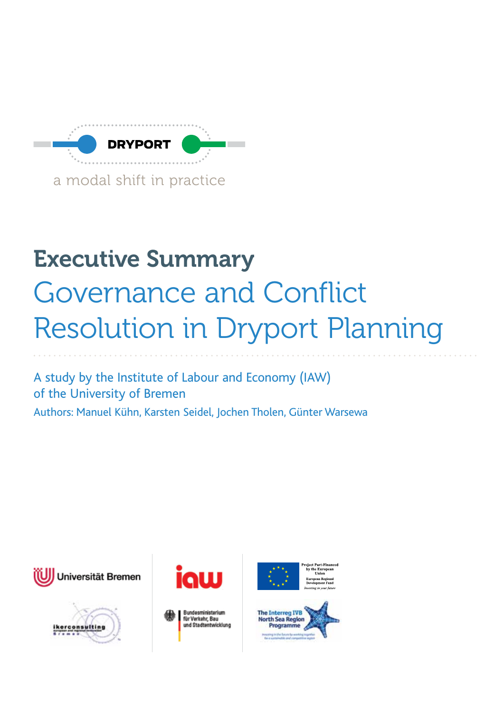

# Executive Summary Governance and Conflict Resolution in Dryport Planning

A study by the Institute of Labour and Economy (IAW) of the University of Bremen Authors: Manuel Kühn, Karsten Seidel, Jochen Tholen, Günter Warsewa











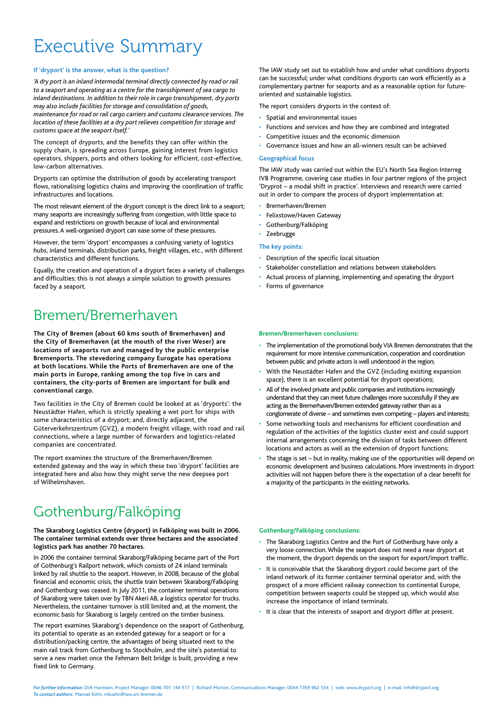# Executive Summary

#### **If 'dryport' is the answer, what is the question?**

*'A dry port is an inland intermodal terminal directly connected by road or rail to a seaport and operating as a centre for the transshipment of sea cargo to inland destinations. In addition to their role in cargo transshipment, dry ports may also include facilities for storage and consolidation of goods, maintenance for road or rail cargo carriers and customs clearance services. The location of these facilities at a dry port relieves competition for storage and customs space at the seaport itself.'*

The concept of dryports, and the benefits they can offer within the supply chain, is spreading across Europe, gaining interest from logistics operators, shippers, ports and others looking for efficient, cost-effective, low-carbon alternatives.

Dryports can optimise the distribution of goods by accelerating transport flows, rationalising logistics chains and improving the coordination of traffic infrastructures and locations.

The most relevant element of the dryport concept is the direct link to a seaport; many seaports are increasingly suffering from congestion, with little space to expand and restrictions on growth because of local and environmental pressures. A well-organised dryport can ease some of these pressures.

However, the term 'dryport' encompasses a confusing variety of logistics hubs, inland terminals, distribution parks, freight villages, etc., with different characteristics and different functions.

Equally, the creation and operation of a dryport faces a variety of challenges and difficulties; this is not always a simple solution to growth pressures faced by a seaport.

### Bremen/Bremerhaven

**The City of Bremen (about 60 kms south of Bremerhaven) and the City of Bremerhaven (at the mouth of the river Weser) are locations of seaports run and managed by the public enterprise Bremenports. The stevedoring company Eurogate has operations at both locations. While the Ports of Bremerhaven are one of the main ports in Europe, ranking among the top five in cars and containers, the city-ports of Bremen are important for bulk and conventional cargo.**

Two facilities in the City of Bremen could be looked at as 'dryports': the Neustädter Hafen, which is strictly speaking a wet port for ships with some characteristics of a dryport; and, directly adjacent, the Güterverkehrszentrum (GVZ), a modern freight village, with road and rail connections, where a large number of forwarders and logistics-related companies are concentrated.

The report examines the structure of the Bremerhaven/Bremen extended gateway and the way in which these two 'dryport' facilities are integrated here and also how they might serve the new deepsea port of Wilhelmshaven.

## Gothenburg/Falköping

#### **The Skaraborg Logistics Centre (dryport) in Falköping was built in 2006. The container terminal extends over three hectares and the associated logistics park has another 70 hectares.**

In 2006 the container terminal Skaraborg/Falköping became part of the Port of Gothenburg's Railport network, which consists of 24 inland terminals linked by rail shuttle to the seaport. However, in 2008, because of the global financial and economic crisis, the shuttle train between Skaraborg/Falköping and Gothenburg was ceased. In July 2011, the container terminal operations of Skaraborg were taken over by TBN Akeri AB, a logistics operator for trucks. Nevertheless, the container turnover is still limited and, at the moment, the economic basis for Skaraborg is largely centred on the timber business.

The report examines Skaraborg's dependence on the seaport of Gothenburg, its potential to operate as an extended gateway for a seaport or for a distribution/packing centre, the advantages of being situated next to the main rail track from Gothenburg to Stockholm, and the site's potential to serve a new market once the Fehmarn Belt bridge is built, providing a new fixed link to Germany.

The IAW study set out to establish how and under what conditions dryports can be successful; under what conditions dryports can work efficiently as a complementary partner for seaports and as a reasonable option for futureoriented and sustainable logistics.

The report considers dryports in the context of:

- Spatial and environmental issues
- Functions and services and how they are combined and integrated
- Competitive issues and the economic dimension
- Governance issues and how an all-winners result can be achieved

#### **Geographical focus**

The IAW study was carried out within the EU's North Sea Region Interreg IVB Programme, covering case studies in four partner regions of the project 'Dryprot – a modal shift in practice'. Interviews and research were carried out in order to compare the process of dryport implementation at:

- Bremerhaven/Bremen
- Felixstowe/Haven Gateway
- Gothenburg/Falköping
- **Zeebrugge**

#### **The key points:**

- Description of the specific local situation
- Stakeholder constellation and relations between stakeholders
- Actual process of planning, implementing and operating the dryport
- Forms of governance

#### **Bremen/Bremerhaven conclusions:**

- The implementation of the promotional body VIA Bremen demonstrates that the requirement for more intensive communication, cooperation and coordination between public and private actors is well understood in the region;
- With the Neustädter Hafen and the GVZ (including existing expansion space), there is an excellent potential for dryport operations;
- All of the involved private and public companies and institutions increasingly understand that they can meet future challenges more successfully if they are acting as the Bremerhaven/Bremen extended gateway rather than as a conglomerate of diverse – and sometimes even competing – players and interests;
- Some networking tools and mechanisms for efficient coordination and regulation of the activities of the logistics cluster exist and could support internal arrangements concerning the division of tasks between different locations and actors as well as the extension of dryport functions;
- The stage is set but in reality, making use of the opportunities will depend on economic development and business calculations. More investments in dryport activities will not happen before there is the expectation of a clear benefit for a majority of the participants in the existing networks.

#### **Gothenburg/Falköping conclusions:**

- The Skaraborg Logistics Centre and the Port of Gothenburg have only a very loose connection. While the seaport does not need a near dryport at the moment, the dryport depends on the seaport for export/import traffic.
- It is conceivable that the Skaraborg dryport could become part of the inland network of its former container terminal operator and, with the prospect of a more efficient railway connection to continental Europe, competition between seaports could be stepped up, which would also increase the importance of inland terminals.
- It is clear that the interests of seaport and dryport differ at present.